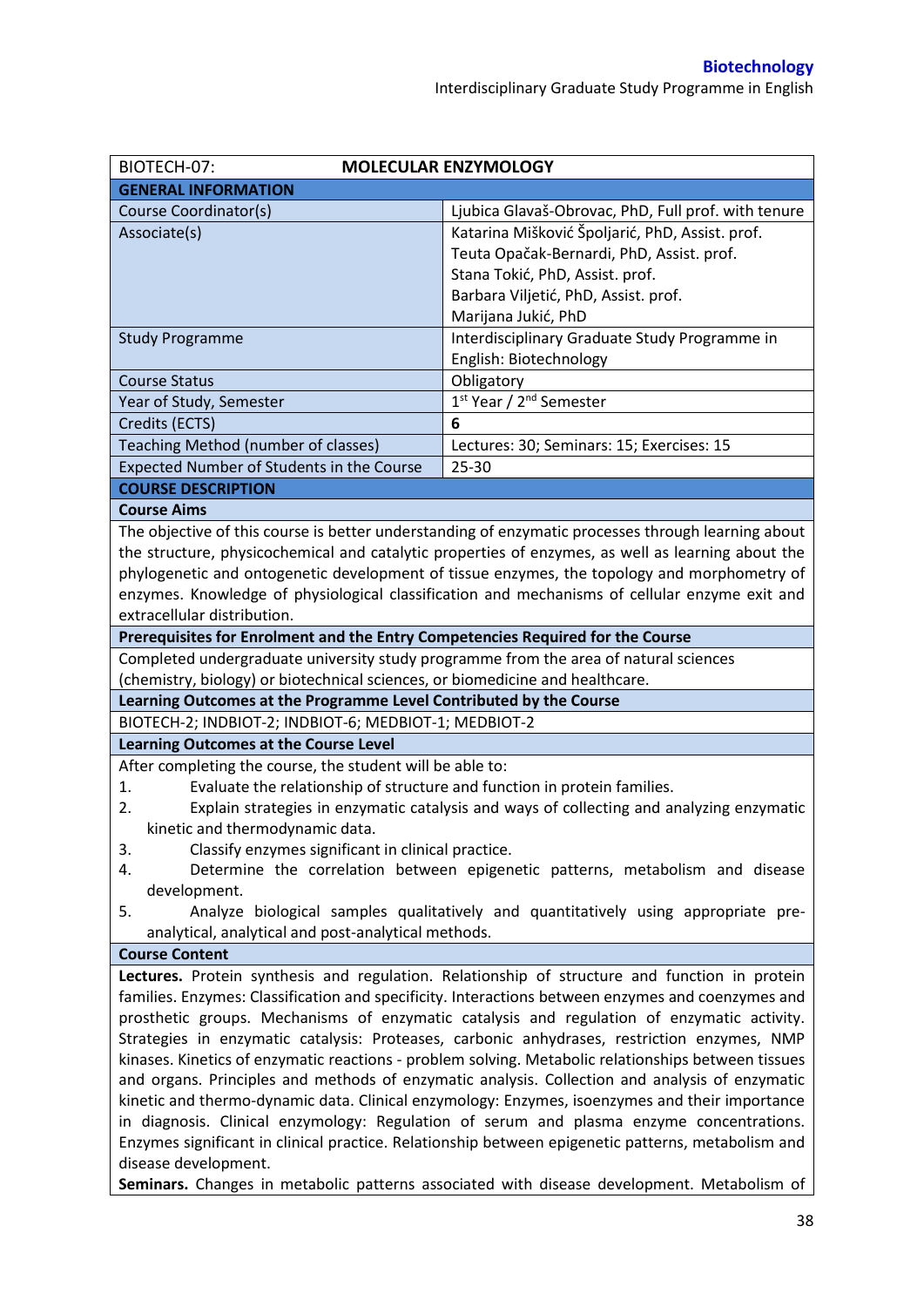| BIOTECH-07:<br><b>MOLECULAR ENZYMOLOGY</b>                                                                                                                                                         |                                                                                                    |  |  |  |
|----------------------------------------------------------------------------------------------------------------------------------------------------------------------------------------------------|----------------------------------------------------------------------------------------------------|--|--|--|
| <b>GENERAL INFORMATION</b>                                                                                                                                                                         |                                                                                                    |  |  |  |
| Course Coordinator(s)                                                                                                                                                                              | Ljubica Glavaš-Obrovac, PhD, Full prof. with tenure                                                |  |  |  |
| Associate(s)                                                                                                                                                                                       | Katarina Mišković Špoljarić, PhD, Assist. prof.                                                    |  |  |  |
|                                                                                                                                                                                                    | Teuta Opačak-Bernardi, PhD, Assist. prof.                                                          |  |  |  |
|                                                                                                                                                                                                    | Stana Tokić, PhD, Assist. prof.                                                                    |  |  |  |
|                                                                                                                                                                                                    | Barbara Viljetić, PhD, Assist. prof.                                                               |  |  |  |
|                                                                                                                                                                                                    | Marijana Jukić, PhD                                                                                |  |  |  |
| <b>Study Programme</b>                                                                                                                                                                             | Interdisciplinary Graduate Study Programme in                                                      |  |  |  |
|                                                                                                                                                                                                    | English: Biotechnology                                                                             |  |  |  |
| <b>Course Status</b>                                                                                                                                                                               | Obligatory                                                                                         |  |  |  |
| Year of Study, Semester                                                                                                                                                                            | 1 <sup>st</sup> Year / 2 <sup>nd</sup> Semester                                                    |  |  |  |
| Credits (ECTS)                                                                                                                                                                                     | 6                                                                                                  |  |  |  |
| Teaching Method (number of classes)                                                                                                                                                                | Lectures: 30; Seminars: 15; Exercises: 15                                                          |  |  |  |
| Expected Number of Students in the Course                                                                                                                                                          | 25-30                                                                                              |  |  |  |
| <b>COURSE DESCRIPTION</b>                                                                                                                                                                          |                                                                                                    |  |  |  |
| <b>Course Aims</b>                                                                                                                                                                                 |                                                                                                    |  |  |  |
|                                                                                                                                                                                                    | The objective of this course is better understanding of enzymatic processes through learning about |  |  |  |
|                                                                                                                                                                                                    | the structure, physicochemical and catalytic properties of enzymes, as well as learning about the  |  |  |  |
|                                                                                                                                                                                                    | phylogenetic and ontogenetic development of tissue enzymes, the topology and morphometry of        |  |  |  |
|                                                                                                                                                                                                    | enzymes. Knowledge of physiological classification and mechanisms of cellular enzyme exit and      |  |  |  |
| extracellular distribution.                                                                                                                                                                        |                                                                                                    |  |  |  |
| Prerequisites for Enrolment and the Entry Competencies Required for the Course                                                                                                                     |                                                                                                    |  |  |  |
| Completed undergraduate university study programme from the area of natural sciences                                                                                                               |                                                                                                    |  |  |  |
| (chemistry, biology) or biotechnical sciences, or biomedicine and healthcare.                                                                                                                      |                                                                                                    |  |  |  |
| Learning Outcomes at the Programme Level Contributed by the Course                                                                                                                                 |                                                                                                    |  |  |  |
|                                                                                                                                                                                                    |                                                                                                    |  |  |  |
| BIOTECH-2; INDBIOT-2; INDBIOT-6; MEDBIOT-1; MEDBIOT-2<br><b>Learning Outcomes at the Course Level</b>                                                                                              |                                                                                                    |  |  |  |
| After completing the course, the student will be able to:                                                                                                                                          |                                                                                                    |  |  |  |
| Evaluate the relationship of structure and function in protein families.<br>1.                                                                                                                     |                                                                                                    |  |  |  |
| 2.                                                                                                                                                                                                 | Explain strategies in enzymatic catalysis and ways of collecting and analyzing enzymatic           |  |  |  |
| kinetic and thermodynamic data.                                                                                                                                                                    |                                                                                                    |  |  |  |
| Classify enzymes significant in clinical practice.<br>3.                                                                                                                                           |                                                                                                    |  |  |  |
|                                                                                                                                                                                                    |                                                                                                    |  |  |  |
| Determine the correlation between epigenetic patterns, metabolism and disease<br>4.                                                                                                                |                                                                                                    |  |  |  |
| development.<br>Analyze biological samples qualitatively and quantitatively using appropriate pre-<br>5.                                                                                           |                                                                                                    |  |  |  |
| analytical, analytical and post-analytical methods.                                                                                                                                                |                                                                                                    |  |  |  |
| <b>Course Content</b>                                                                                                                                                                              |                                                                                                    |  |  |  |
|                                                                                                                                                                                                    |                                                                                                    |  |  |  |
|                                                                                                                                                                                                    | Lectures. Protein synthesis and regulation. Relationship of structure and function in protein      |  |  |  |
| families. Enzymes: Classification and specificity. Interactions between enzymes and coenzymes and                                                                                                  |                                                                                                    |  |  |  |
| prosthetic groups. Mechanisms of enzymatic catalysis and regulation of enzymatic activity.                                                                                                         |                                                                                                    |  |  |  |
| Strategies in enzymatic catalysis: Proteases, carbonic anhydrases, restriction enzymes, NMP<br>kinases. Kinetics of enzymatic reactions - problem solving. Metabolic relationships between tissues |                                                                                                    |  |  |  |
| and organs. Principles and methods of enzymatic analysis. Collection and analysis of enzymatic                                                                                                     |                                                                                                    |  |  |  |
| kinetic and thermo-dynamic data. Clinical enzymology: Enzymes, isoenzymes and their importance                                                                                                     |                                                                                                    |  |  |  |
| in diagnosis. Clinical enzymology: Regulation of serum and plasma enzyme concentrations.                                                                                                           |                                                                                                    |  |  |  |
| Enzymes significant in clinical practice. Relationship between epigenetic patterns, metabolism and                                                                                                 |                                                                                                    |  |  |  |
| disease development.                                                                                                                                                                               |                                                                                                    |  |  |  |
|                                                                                                                                                                                                    |                                                                                                    |  |  |  |
| Seminars. Changes in metabolic patterns associated with disease development. Metabolism of                                                                                                         |                                                                                                    |  |  |  |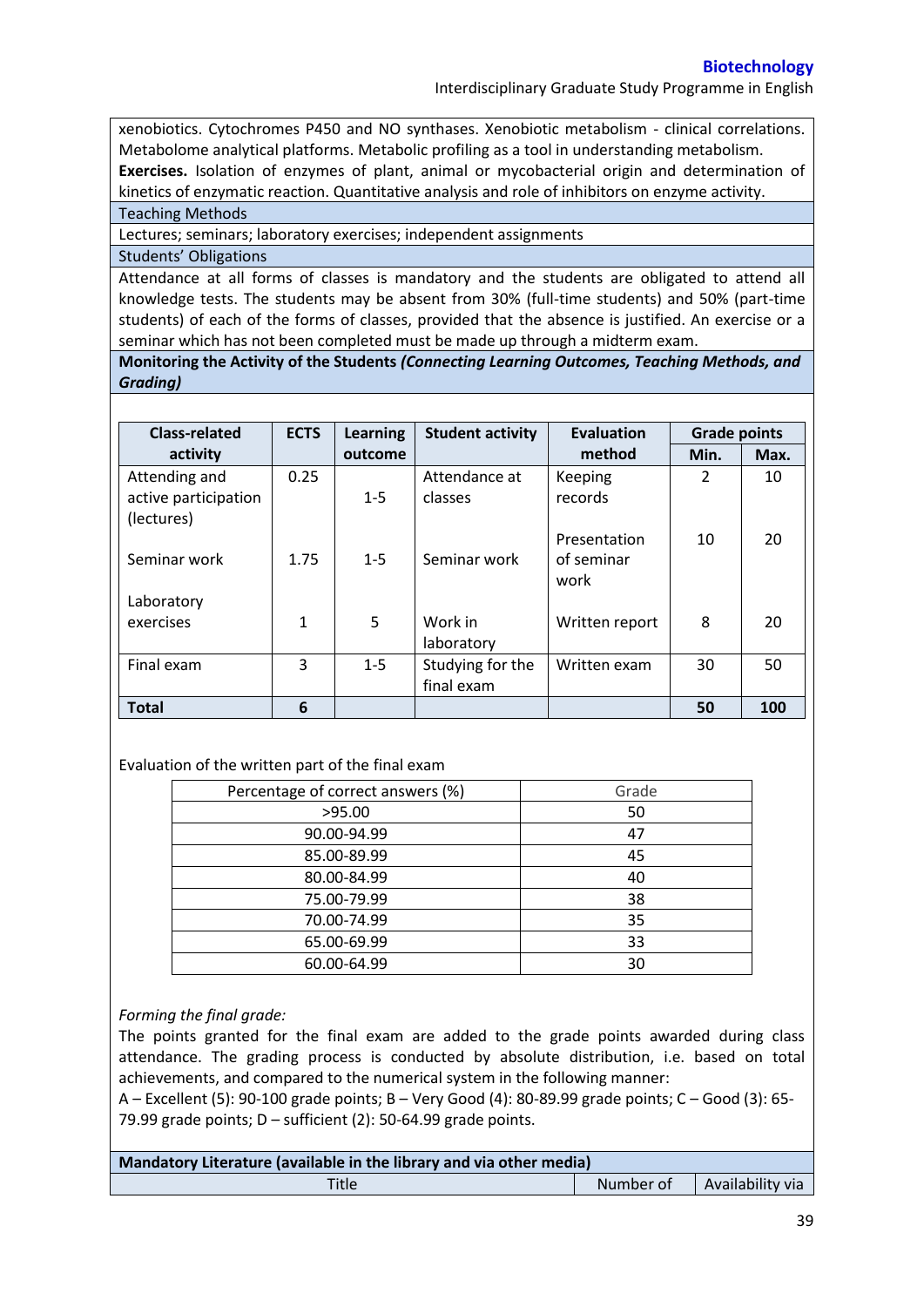Interdisciplinary Graduate Study Programme in English

xenobiotics. Cytochromes P450 and NO synthases. Xenobiotic metabolism - clinical correlations. Metabolome analytical platforms. Metabolic profiling as a tool in understanding metabolism. **Exercises.** Isolation of enzymes of plant, animal or mycobacterial origin and determination of kinetics of enzymatic reaction. Quantitative analysis and role of inhibitors on enzyme activity.

Teaching Methods

Lectures; seminars; laboratory exercises; independent assignments

# Students' Obligations

Attendance at all forms of classes is mandatory and the students are obligated to attend all knowledge tests. The students may be absent from 30% (full-time students) and 50% (part-time students) of each of the forms of classes, provided that the absence is justified. An exercise or a seminar which has not been completed must be made up through a midterm exam.

**Monitoring the Activity of the Students** *(Connecting Learning Outcomes, Teaching Methods, and Grading)*

| <b>Class-related</b> | <b>ECTS</b> | <b>Learning</b> | <b>Student activity</b> | <b>Evaluation</b><br><b>Grade points</b> |      |      |
|----------------------|-------------|-----------------|-------------------------|------------------------------------------|------|------|
| activity             |             | outcome         |                         | method                                   | Min. | Max. |
| Attending and        | 0.25        |                 | Attendance at           | Keeping                                  | 2    | 10   |
| active participation |             | $1 - 5$         | classes                 | records                                  |      |      |
| (lectures)           |             |                 |                         |                                          |      |      |
|                      |             |                 |                         | Presentation                             | 10   | 20   |
| Seminar work         | 1.75        | $1 - 5$         | Seminar work            | of seminar                               |      |      |
|                      |             |                 |                         | work                                     |      |      |
| Laboratory           |             |                 |                         |                                          |      |      |
| exercises            | 1           | 5               | Work in                 | Written report                           | 8    | 20   |
|                      |             |                 | laboratory              |                                          |      |      |
| Final exam           | 3           | $1 - 5$         | Studying for the        | Written exam                             | 30   | 50   |
|                      |             |                 | final exam              |                                          |      |      |
| <b>Total</b>         | 6           |                 |                         |                                          | 50   | 100  |

### Evaluation of the written part of the final exam

| Percentage of correct answers (%) | Grade |
|-----------------------------------|-------|
| >95.00                            | 50    |
| 90.00-94.99                       | 47    |
| 85.00-89.99                       | 45    |
| 80.00-84.99                       | 40    |
| 75.00-79.99                       | 38    |
| 70.00-74.99                       | 35    |
| 65.00-69.99                       | 33    |
| 60.00-64.99                       | 30    |

### *Forming the final grade:*

The points granted for the final exam are added to the grade points awarded during class attendance. The grading process is conducted by absolute distribution, i.e. based on total achievements, and compared to the numerical system in the following manner:

A – Excellent (5): 90-100 grade points; B – Very Good (4): 80-89.99 grade points; C – Good (3): 65- 79.99 grade points;  $D$  – sufficient (2): 50-64.99 grade points.

| Mandatory Literature (available in the library and via other media) |           |                  |  |  |
|---------------------------------------------------------------------|-----------|------------------|--|--|
| Title                                                               | Number of | Availability via |  |  |